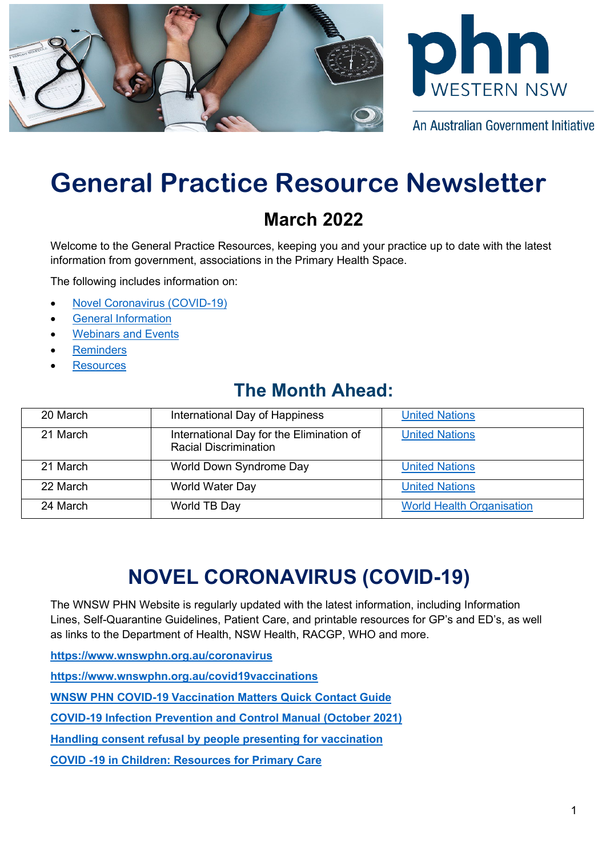



An Australian Government Initiative

# **General Practice Resource Newsletter**

## **March 2022**

Welcome to the General Practice Resources, keeping you and your practice up to date with the latest information from government, associations in the Primary Health Space.

The following includes information on:

- [Novel Coronavirus \(COVID-19\)](#page-0-0)
- [General Information](#page-3-0)
- [Webinars and Events](#page-4-0)
- **[Reminders](#page-5-0)**
- **[Resources](#page-5-1)**

## **The Month Ahead:**

| 20 March | International Day of Happiness                                           | <b>United Nations</b>            |
|----------|--------------------------------------------------------------------------|----------------------------------|
| 21 March | International Day for the Elimination of<br><b>Racial Discrimination</b> | <b>United Nations</b>            |
| 21 March | World Down Syndrome Day                                                  | <b>United Nations</b>            |
| 22 March | World Water Day                                                          | <b>United Nations</b>            |
| 24 March | World TB Day                                                             | <b>World Health Organisation</b> |

# **NOVEL CORONAVIRUS (COVID-19)**

<span id="page-0-0"></span>The WNSW PHN Website is regularly updated with the latest information, including Information Lines, Self-Quarantine Guidelines, Patient Care, and printable resources for GP's and ED's, as well as links to the Department of Health, NSW Health, RACGP, WHO and more.

**<https://www.wnswphn.org.au/coronavirus>**

**<https://www.wnswphn.org.au/covid19vaccinations>**

**[WNSW PHN COVID-19 Vaccination Matters Quick Contact Guide](https://www.wnswphn.org.au/uploads/documents/newsletters/GP%20Resources%20July%202021/WNSW%20PHN%20COVID-19%20Primary%20Care%20Vaccination%20Contacts.pdf)**

**[COVID-19 Infection Prevention and Control Manual \(October 2021\)](https://www.cec.health.nsw.gov.au/keep-patients-safe/COVID-19/COVID-19-IPAC-manual)**

**[Handling consent refusal by people presenting for vaccination](https://www.wnswphn.org.au/uploads/documents/newsletters/GP%20Resources%20January%202022/COVID%20Vaccine%20-%20Handling%20Consent.pdf)**

**[COVID -19 in Children: Resources for Primary Care](https://www.wnswphn.org.au/uploads/documents/newsletters/GP%20Resources%20January%202022/COVID-19%20Digital%20Poster.pdf)**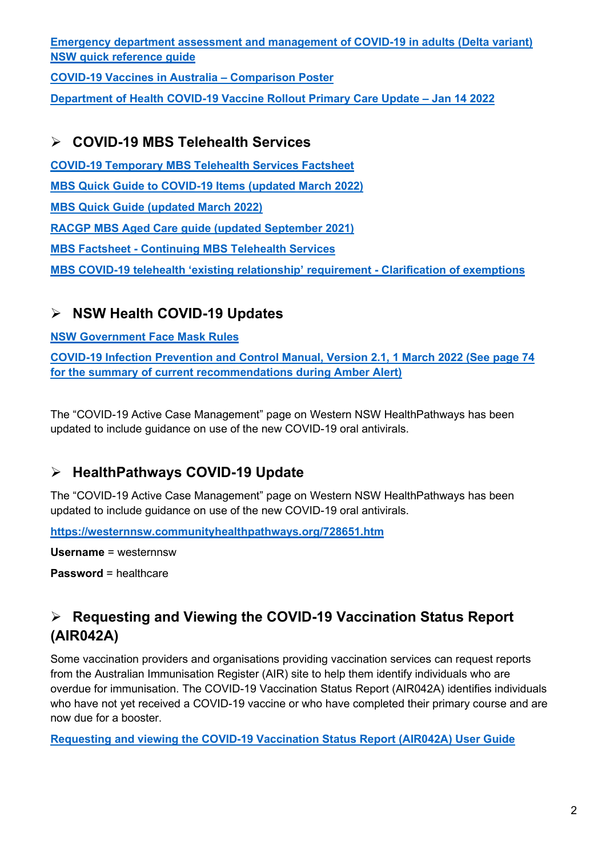**[Emergency department assessment and management of COVID-19 in adults \(Delta variant\)](https://www.wnswphn.org.au/uploads/documents/newsletters/GP%20Resources%20February%202022/guide-ed-assessment-management.pdf)  [NSW quick reference guide](https://www.wnswphn.org.au/uploads/documents/newsletters/GP%20Resources%20February%202022/guide-ed-assessment-management.pdf)**

**[COVID-19 Vaccines in Australia –](https://www.wnswphn.org.au/uploads/documents/newsletters/GP%20Resources%20February%202022/COVID-19_vaccine_comparison_poster_v11.pdf) Comparison Poster**

**[Department of Health COVID-19 Vaccine Rollout Primary Care Update –](https://www.wnswphn.org.au/uploads/documents/newsletters/GP%20Resources%20February%202022/14JAN22_COVID-19%20Vaccine%20Rollout%20Primary%20Care%20Update.pdf) Jan 14 2022**

### **COVID-19 MBS Telehealth Services**

**[COVID-19 Temporary MBS Telehealth Services Factsheet](https://www.wnswphn.org.au/uploads/documents/newsletters/GP%20Resources%20October%202021/Factsheet-COVID-19-GPsOMP-30.07.21.pdf) MBS Quick Guide [to COVID-19 Items](https://www.wnswphn.org.au/uploads/documents/newsletters/GP%20Resources%20March%202022/MBS%20card_MAR22_COVID-19.V2.pdf) (updated March 2022) [MBS Quick Guide \(updated March](https://www.wnswphn.org.au/uploads/documents/newsletters/GP%20Resources%20March%202022/MBS%20card_MAR22.V2.pdf) 2022) [RACGP MBS Aged Care guide \(updated September 2021\)](https://www.wnswphn.org.au/uploads/documents/newsletters/GP%20Resources%20October%202021/RACGP%20MBS%20Aged%20Care%20guide%20-%202021-09-21.pdf) MBS Factsheet - [Continuing MBS Telehealth Services](https://www.wnswphn.org.au/uploads/documents/newsletters/GP%20Resources%20February%202022/Factsheet-COVID-19-GPs-OMP.151221.pdf) [MBS COVID-19 telehealth 'existing relationship' requirement -](https://www.wnswphn.org.au/uploads/documents/newsletters/GP%20Resources%20February%202022/askmbs-advisory-existing-relationship-clarification-askmbs-advisory---existing-relationship-clarification.pdf) Clarification of exemptions**

## **NSW Health COVID-19 Updates**

#### **[NSW Government Face Mask Rules](https://www.nsw.gov.au/covid-19/stay-safe/rules/face-mask-rules)**

**[COVID-19 Infection Prevention and Control Manual, Version 2.1, 1 March 2022 \(See page 74](https://www.cec.health.nsw.gov.au/keep-patients-safe/COVID-19/COVID-19-IPAC-manual)  [for the summary of current recommendations during Amber Alert\)](https://www.cec.health.nsw.gov.au/keep-patients-safe/COVID-19/COVID-19-IPAC-manual)**

The "COVID-19 Active Case Management" page on Western NSW HealthPathways has been updated to include guidance on use of the new COVID-19 oral antivirals.

## **HealthPathways COVID-19 Update**

The "COVID-19 Active Case Management" page on Western NSW HealthPathways has been updated to include guidance on use of the new COVID-19 oral antivirals.

**<https://westernnsw.communityhealthpathways.org/728651.htm>**

**Username** = westernnsw

**Password** = healthcare

## **Requesting and Viewing the COVID-19 Vaccination Status Report (AIR042A)**

Some vaccination providers and organisations providing vaccination services can request reports from the Australian Immunisation Register (AIR) site to help them identify individuals who are overdue for immunisation. The COVID-19 Vaccination Status Report (AIR042A) identifies individuals who have not yet received a COVID-19 vaccine or who have completed their primary course and are now due for a booster.

**[Requesting and viewing the COVID-19 Vaccination Status Report \(AIR042A\) User Guide](https://www.wnswphn.org.au/uploads/documents/newsletters/GP%20Resources%20March%202022/42A-user-guide_v3-18022022.pdf)**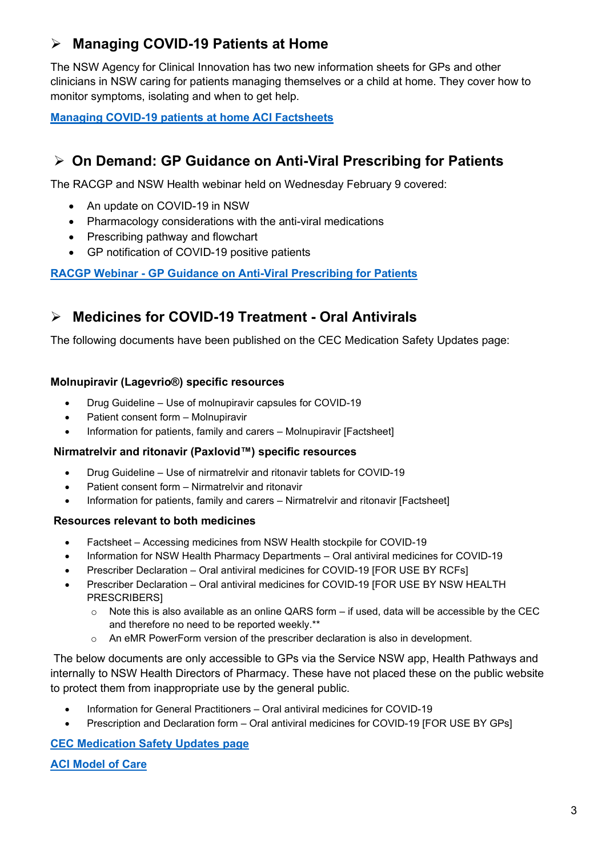## **Managing COVID-19 Patients at Home**

The NSW Agency for Clinical Innovation has two new information sheets for GPs and other clinicians in NSW caring for patients managing themselves or a child at home. They cover how to monitor symptoms, isolating and when to get help.

**[Managing COVID-19 patients at home ACI Factsheets](https://aci.health.nsw.gov.au/covid-19/communities-of-practice)**

## **On Demand: GP Guidance on Anti-Viral Prescribing for Patients**

The RACGP and NSW Health webinar held on Wednesday February 9 covered:

- An update on COVID-19 in NSW
- Pharmacology considerations with the anti-viral medications
- Prescribing pathway and flowchart
- GP notification of COVID-19 positive patients

**RACGP Webinar - [GP Guidance on Anti-Viral Prescribing for Patients](https://www.racgp.org.au/racgp-digital-events-calendar/online-event-items/on-demand/gp-guidance-on-anti-viral-prescribing-for-patients)**

### **Medicines for COVID-19 Treatment - Oral Antivirals**

The following documents have been published on the CEC Medication Safety Updates page:

#### **Molnupiravir (Lagevrio®) specific resources**

- Drug Guideline Use of molnupiravir capsules for COVID-19
- Patient consent form Molnupiravir
- Information for patients, family and carers Molnupiravir [Factsheet]

#### **Nirmatrelvir and ritonavir (Paxlovid™) specific resources**

- Drug Guideline Use of nirmatrelvir and ritonavir tablets for COVID-19
- Patient consent form Nirmatrelvir and ritonavir
- Information for patients, family and carers Nirmatrelvir and ritonavir [Factsheet]

#### **Resources relevant to both medicines**

- Factsheet Accessing medicines from NSW Health stockpile for COVID-19
- Information for NSW Health Pharmacy Departments Oral antiviral medicines for COVID-19
- Prescriber Declaration Oral antiviral medicines for COVID-19 [FOR USE BY RCFs]
- Prescriber Declaration Oral antiviral medicines for COVID-19 [FOR USE BY NSW HEALTH PRESCRIBERS]
	- $\circ$  Note this is also available as an online QARS form if used, data will be accessible by the CEC and therefore no need to be reported weekly.\*\*
	- o An eMR PowerForm version of the prescriber declaration is also in development.

The below documents are only accessible to GPs via the Service NSW app, Health Pathways and internally to NSW Health Directors of Pharmacy. These have not placed these on the public website to protect them from inappropriate use by the general public.

- Information for General Practitioners Oral antiviral medicines for COVID-19
- Prescription and Declaration form Oral antiviral medicines for COVID-19 [FOR USE BY GPs]

#### **[CEC Medication Safety Updates page](https://www.cec.health.nsw.gov.au/keep-patients-safe/medication-safety/medicine-updates)**

#### **[ACI Model of Care](https://security-au.mimecast.com/ttpwp#/checking?key=bmFvbWkuYnVyZ2Vzc0BzYS5nb3YuYXV8cmVxLWY0ODQ5NTViZTM4MTliNTA3ZTBhYmNlNzVkMTU0OWU2)**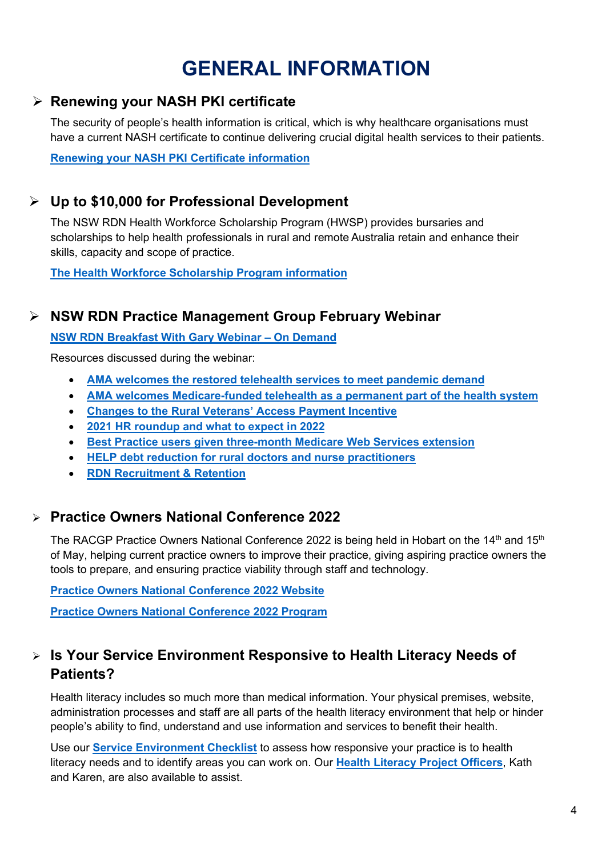# **GENERAL INFORMATION**

### <span id="page-3-0"></span>**Renewing your NASH PKI certificate**

The security of people's health information is critical, which is why healthcare organisations must have a current NASH certificate to continue delivering crucial digital health services to their patients.

**[Renewing your NASH PKI Certificate information](https://www.wnswphn.org.au/uploads/documents/newsletters/GP%20Resources%20March%202022/renewing-your-nash-pki-certificate.pdf)**

### **Up to \$10,000 for Professional Development**

The NSW RDN Health Workforce Scholarship Program (HWSP) provides bursaries and scholarships to help health professionals in rural and remote Australia retain and enhance their skills, capacity and scope of practice.

**[The Health Workforce Scholarship Program information](https://www.nswrdn.com.au/hwsp?ct=t%28HWSP+EMAIL_POSSIBLY+ELIGIBLE+NOT+APPLIED%29&mc_cid=c2d14f3d53&mc_eid=a884b28c03)**

## **NSW RDN Practice Management Group February Webinar**

**[NSW RDN Breakfast With Gary Webinar –](https://us02web.zoom.us/rec/play/YmCmPV_l56-H-c45frliL7fRBmuP8GbhTMbC0aXwAnCgYQ76Se0LDZCS6coogFQO3N8WRXyfjEzDVg_T.xbsog8uNDuZcqU0K) On Demand**

Resources discussed during the webinar:

- **[AMA welcomes the restored telehealth services to meet pandemic demand](https://www.ama.com.au/gpnn/issue-22-number-2/articles/ama-welcomes-restored-telehealth-services-meet-pandemic-demand)**
- **[AMA welcomes Medicare-funded telehealth as a permanent part of the health system](https://www.ama.com.au/gpnn/issue-21-number-49/articles/ama-welcomes-medicare-funded-telehealth-permanent-part-health)**
- **[Changes to the Rural Veterans' Access Payment Incentive](https://www.ama.com.au/gpnn/issue-22-number-1/articles/changes-rural-veterans-access-payment-incentive)**
- **2021 HR [roundup](https://d15k2d11r6t6rl.cloudfront.net/public/users/Integrators/BeeProAgency/22916_386/07DEC21_2021%20Roundup%20and%20what%20to%20expect%20in%202022.pdf) and what to expect in 2022**
- **[Best Practice users given three-month Medicare Web Services extension](https://www.pulseitmagazine.com.au/australian-ehealth/6431-best-practice-users-given-three-month-medicare-web-services-extension?utm_source=Pulse%2BIT+-+eNewsletters&utm_campaign=69fb7f29a3-PulseIT_eNews_04_02_2022&utm_medium=email&utm_term=0_b39f06f53f-69fb7f29a3-412999985&goal=0_b39f06f53f-69fb7f29a3-412999985&mc_cid=69fb7f29a3&mc_eid=ed8fd8ab64)**
- **HELP debt reduction for rural doctors and nurse [practitioners](https://www.health.gov.au/sites/default/files/documents/2022/01/fact-sheet-help-for-rural-doctors-and-nurse-practitioners-fact-sheet-help-for-rural-doctors-and-nurse-practitioners.pdf)**
- **[RDN Recruitment & Retention](https://www.nswrdn.com.au/site/index.cfm?display=400929)**

### **Practice Owners National Conference 2022**

The RACGP Practice Owners National Conference 2022 is being held in Hobart on the 14<sup>th</sup> and 15<sup>th</sup> of May, helping current practice owners to improve their practice, giving aspiring practice owners the tools to prepare, and ensuring practice viability through staff and technology.

**[Practice Owners National Conference 2022 Website](https://www.racgp.org.au/ponc/home)**

**[Practice Owners National Conference 2022 Program](https://racgp.eventsair.com/QuickEventWebsitePortal/2022practiceowners/program2022)**

## **Is Your Service Environment Responsive to Health Literacy Needs of Patients?**

Health literacy includes so much more than medical information. Your physical premises, website, administration processes and staff are all parts of the health literacy environment that help or hinder people's ability to find, understand and use information and services to benefit their health.

Use our **[Service Environment Checklist](https://www.wnswphn.org.au/uploads/documents/Resources/Health%20Literacy/HL%20checklist%20service%20environment.pdf)** to assess how responsive your practice is to health literacy needs and to identify areas you can work on. Our **[Health Literacy Project Officers](mailto:healthliteracy@wnswphn.org.au)**, Kath and Karen, are also available to assist.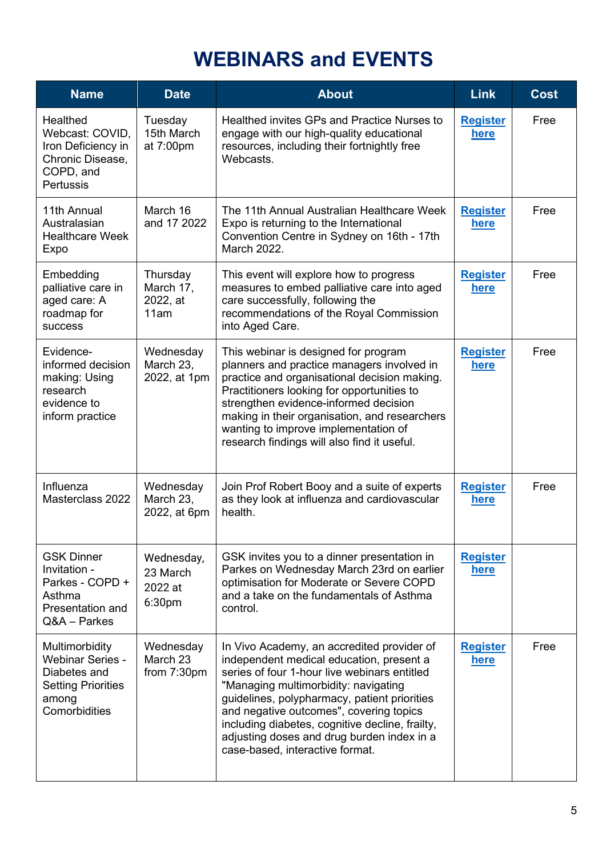## **WEBINARS and EVENTS**

<span id="page-4-0"></span>

| <b>Name</b>                                                                                                      | <b>Date</b>                                             | <b>About</b>                                                                                                                                                                                                                                                                                                                                                                                                  | <b>Link</b>                    | <b>Cost</b> |
|------------------------------------------------------------------------------------------------------------------|---------------------------------------------------------|---------------------------------------------------------------------------------------------------------------------------------------------------------------------------------------------------------------------------------------------------------------------------------------------------------------------------------------------------------------------------------------------------------------|--------------------------------|-------------|
| Healthed<br>Webcast: COVID,<br>Iron Deficiency in<br>Chronic Disease,<br>COPD, and<br><b>Pertussis</b>           | Tuesday<br>15th March<br>at 7:00pm                      | Healthed invites GPs and Practice Nurses to<br>engage with our high-quality educational<br>resources, including their fortnightly free<br>Webcasts.                                                                                                                                                                                                                                                           | <b>Register</b><br>here        | Free        |
| 11th Annual<br>Australasian<br><b>Healthcare Week</b><br>Expo                                                    | March 16<br>and 17 2022                                 | The 11th Annual Australian Healthcare Week<br>Expo is returning to the International<br>Convention Centre in Sydney on 16th - 17th<br>March 2022.                                                                                                                                                                                                                                                             | <b>Register</b><br><u>here</u> | Free        |
| Embedding<br>palliative care in<br>aged care: A<br>roadmap for<br><b>SUCCESS</b>                                 | Thursday<br>March 17,<br>2022, at<br>11am               | This event will explore how to progress<br>measures to embed palliative care into aged<br>care successfully, following the<br>recommendations of the Royal Commission<br>into Aged Care.                                                                                                                                                                                                                      | <b>Register</b><br><u>here</u> | Free        |
| Evidence-<br>informed decision<br>making: Using<br>research<br>evidence to<br>inform practice                    | Wednesday<br>March 23,<br>2022, at 1pm                  | This webinar is designed for program<br>planners and practice managers involved in<br>practice and organisational decision making.<br>Practitioners looking for opportunities to<br>strengthen evidence-informed decision<br>making in their organisation, and researchers<br>wanting to improve implementation of<br>research findings will also find it useful.                                             | <b>Register</b><br>here        | Free        |
| Influenza<br>Masterclass 2022                                                                                    | Wednesday<br>March 23,<br>2022, at 6pm                  | Join Prof Robert Booy and a suite of experts<br>as they look at influenza and cardiovascular<br>health.                                                                                                                                                                                                                                                                                                       | <b>Register</b><br>here        | Free        |
| <b>GSK Dinner</b><br>Invitation -<br>Parkes - COPD +<br>Asthma<br>Presentation and<br>Q&A - Parkes               | Wednesday,<br>23 March<br>2022 at<br>6:30 <sub>pm</sub> | GSK invites you to a dinner presentation in<br>Parkes on Wednesday March 23rd on earlier<br>optimisation for Moderate or Severe COPD<br>and a take on the fundamentals of Asthma<br>control.                                                                                                                                                                                                                  | <b>Register</b><br>here        |             |
| Multimorbidity<br><b>Webinar Series -</b><br>Diabetes and<br><b>Setting Priorities</b><br>among<br>Comorbidities | Wednesday<br>March 23<br>from 7:30pm                    | In Vivo Academy, an accredited provider of<br>independent medical education, present a<br>series of four 1-hour live webinars entitled<br>"Managing multimorbidity: navigating<br>guidelines, polypharmacy, patient priorities<br>and negative outcomes", covering topics<br>including diabetes, cognitive decline, frailty,<br>adjusting doses and drug burden index in a<br>case-based, interactive format. | <b>Register</b><br><u>here</u> | Free        |